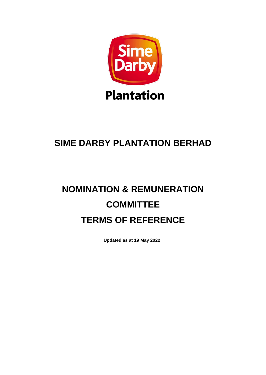

## **SIME DARBY PLANTATION BERHAD**

# **NOMINATION & REMUNERATION COMMITTEE TERMS OF REFERENCE**

**Updated as at 19 May 2022**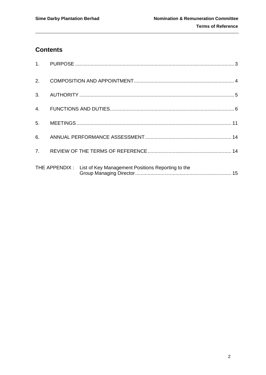### **Contents**

| 2.               |                                                                  |  |
|------------------|------------------------------------------------------------------|--|
| 3.               |                                                                  |  |
| $\overline{4}$ . |                                                                  |  |
| 5 <sub>1</sub>   |                                                                  |  |
| 6.               |                                                                  |  |
| 7 <sub>1</sub>   |                                                                  |  |
|                  | THE APPENDIX : List of Key Management Positions Reporting to the |  |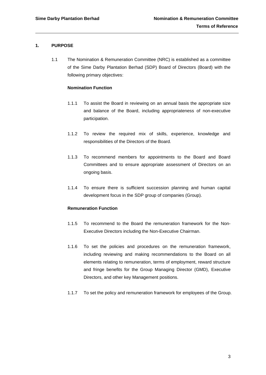#### <span id="page-2-0"></span>**1. PURPOSE**

1.1 The Nomination & Remuneration Committee (NRC) is established as a committee of the Sime Darby Plantation Berhad (SDP) Board of Directors (Board) with the following primary objectives:

#### **Nomination Function**

- 1.1.1 To assist the Board in reviewing on an annual basis the appropriate size and balance of the Board, including appropriateness of non-executive participation.
- 1.1.2 To review the required mix of skills, experience, knowledge and responsibilities of the Directors of the Board.
- 1.1.3 To recommend members for appointments to the Board and Board Committees and to ensure appropriate assessment of Directors on an ongoing basis.
- 1.1.4 To ensure there is sufficient succession planning and human capital development focus in the SDP group of companies (Group).

#### **Remuneration Function**

- 1.1.5 To recommend to the Board the remuneration framework for the Non-Executive Directors including the Non-Executive Chairman.
- 1.1.6 To set the policies and procedures on the remuneration framework, including reviewing and making recommendations to the Board on all elements relating to remuneration, terms of employment, reward structure and fringe benefits for the Group Managing Director (GMD), Executive Directors, and other key Management positions.
- 1.1.7 To set the policy and remuneration framework for employees of the Group.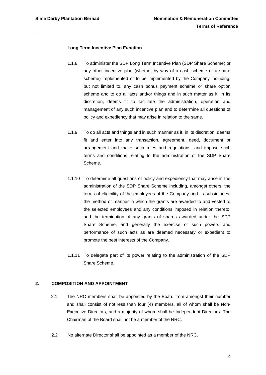#### **Long Term Incentive Plan Function**

- 1.1.8 To administer the SDP Long Term Incentive Plan (SDP Share Scheme) or any other incentive plan (whether by way of a cash scheme or a share scheme) implemented or to be implemented by the Company including, but not limited to, any cash bonus payment scheme or share option scheme and to do all acts and/or things and in such matter as it, in its discretion, deems fit to facilitate the administration, operation and management of any such incentive plan and to determine all questions of policy and expediency that may arise in relation to the same.
- 1.1.9 To do all acts and things and in such manner as it, in its discretion, deems fit and enter into any transaction, agreement, deed, document or arrangement and make such rules and regulations, and impose such terms and conditions relating to the administration of the SDP Share Scheme.
- 1.1.10 To determine all questions of policy and expediency that may arise in the administration of the SDP Share Scheme including, amongst others, the terms of eligibility of the employees of the Company and its subsidiaries, the method or manner in which the grants are awarded to and vested to the selected employees and any conditions imposed in relation thereto, and the termination of any grants of shares awarded under the SDP Share Scheme, and generally the exercise of such powers and performance of such acts as are deemed necessary or expedient to promote the best interests of the Company.
- 1.1.11 To delegate part of its power relating to the administration of the SDP Share Scheme.

#### <span id="page-3-0"></span>**2. COMPOSITION AND APPOINTMENT**

- 2.1 The NRC members shall be appointed by the Board from amongst their number and shall consist of not less than four (4) members, all of whom shall be Non-Executive Directors, and a majority of whom shall be Independent Directors. The Chairman of the Board shall not be a member of the NRC.
- 2.2 No alternate Director shall be appointed as a member of the NRC.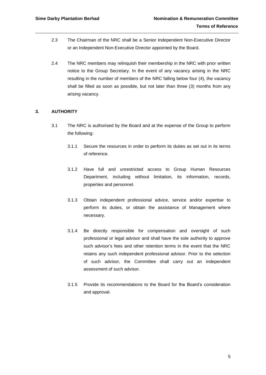- 2.3 The Chairman of the NRC shall be a Senior Independent Non-Executive Director or an Independent Non-Executive Director appointed by the Board.
- 2.4 The NRC members may relinquish their membership in the NRC with prior written notice to the Group Secretary. In the event of any vacancy arising in the NRC resulting in the number of members of the NRC falling below four (4), the vacancy shall be filled as soon as possible, but not later than three (3) months from any arising vacancy.

#### <span id="page-4-0"></span>**3. AUTHORITY**

- 3.1 The NRC is authorised by the Board and at the expense of the Group to perform the following:
	- 3.1.1 Secure the resources in order to perform its duties as set out in its terms of reference.
	- 3.1.2 Have full and unrestricted access to Group Human Resources Department, including without limitation, its information, records, properties and personnel.
	- 3.1.3 Obtain independent professional advice, service and/or expertise to perform its duties, or obtain the assistance of Management where necessary.
	- 3.1.4 Be directly responsible for compensation and oversight of such professional or legal advisor and shall have the sole authority to approve such advisor's fees and other retention terms in the event that the NRC retains any such independent professional advisor. Prior to the selection of such advisor, the Committee shall carry out an independent assessment of such advisor.
	- 3.1.5 Provide its recommendations to the Board for the Board's consideration and approval.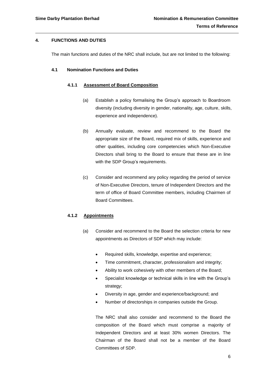#### <span id="page-5-0"></span>**4. FUNCTIONS AND DUTIES**

The main functions and duties of the NRC shall include, but are not limited to the following:

#### **4.1 Nomination Functions and Duties**

#### **4.1.1 Assessment of Board Composition**

- (a) Establish a policy formalising the Group's approach to Boardroom diversity (including diversity in gender, nationality, age, culture, skills, experience and independence).
- (b) Annually evaluate, review and recommend to the Board the appropriate size of the Board, required mix of skills, experience and other qualities, including core competencies which Non-Executive Directors shall bring to the Board to ensure that these are in line with the SDP Group's requirements.
- (c) Consider and recommend any policy regarding the period of service of Non-Executive Directors, tenure of Independent Directors and the term of office of Board Committee members, including Chairmen of Board Committees.

#### **4.1.2 Appointments**

- (a) Consider and recommend to the Board the selection criteria for new appointments as Directors of SDP which may include:
	- Required skills, knowledge, expertise and experience;
	- Time commitment, character, professionalism and integrity;
	- Ability to work cohesively with other members of the Board;
	- Specialist knowledge or technical skills in line with the Group's strategy:
	- Diversity in age, gender and experience/background; and
	- Number of directorships in companies outside the Group.

The NRC shall also consider and recommend to the Board the composition of the Board which must comprise a majority of Independent Directors and at least 30% women Directors. The Chairman of the Board shall not be a member of the Board Committees of SDP.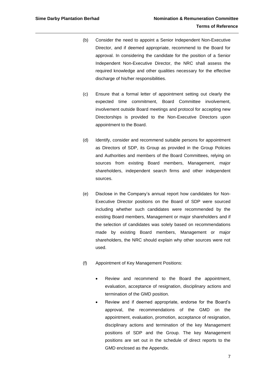- (b) Consider the need to appoint a Senior Independent Non-Executive Director, and if deemed appropriate, recommend to the Board for approval. In considering the candidate for the position of a Senior Independent Non-Executive Director, the NRC shall assess the required knowledge and other qualities necessary for the effective discharge of his/her responsibilities.
- (c) Ensure that a formal letter of appointment setting out clearly the expected time commitment, Board Committee involvement, involvement outside Board meetings and protocol for accepting new Directorships is provided to the Non-Executive Directors upon appointment to the Board.
- (d) Identify, consider and recommend suitable persons for appointment as Directors of SDP, its Group as provided in the Group Policies and Authorities and members of the Board Committees, relying on sources from existing Board members, Management, major shareholders, independent search firms and other independent sources.
- (e) Disclose in the Company's annual report how candidates for Non-Executive Director positions on the Board of SDP were sourced including whether such candidates were recommended by the existing Board members, Management or major shareholders and if the selection of candidates was solely based on recommendations made by existing Board members, Management or major shareholders, the NRC should explain why other sources were not used.
- (f) Appointment of Key Management Positions:
	- Review and recommend to the Board the appointment, evaluation, acceptance of resignation, disciplinary actions and termination of the GMD position.
	- Review and if deemed appropriate, endorse for the Board's approval, the recommendations of the GMD on the appointment, evaluation, promotion, acceptance of resignation, disciplinary actions and termination of the key Management positions of SDP and the Group. The key Management positions are set out in the schedule of direct reports to the GMD enclosed as the Appendix.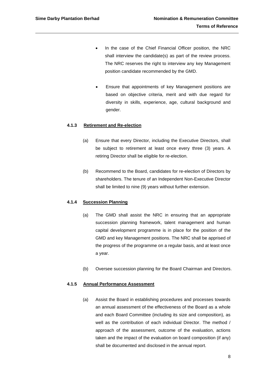- In the case of the Chief Financial Officer position, the NRC shall interview the candidate(s) as part of the review process. The NRC reserves the right to interview any key Management position candidate recommended by the GMD.
- Ensure that appointments of key Management positions are based on objective criteria, merit and with due regard for diversity in skills, experience, age, cultural background and gender.

#### **4.1.3 Retirement and Re-election**

- (a) Ensure that every Director, including the Executive Directors, shall be subject to retirement at least once every three (3) years. A retiring Director shall be eligible for re-election.
- (b) Recommend to the Board, candidates for re-election of Directors by shareholders. The tenure of an Independent Non-Executive Director shall be limited to nine (9) years without further extension.

#### **4.1.4 Succession Planning**

- (a) The GMD shall assist the NRC in ensuring that an appropriate succession planning framework, talent management and human capital development programme is in place for the position of the GMD and key Management positions. The NRC shall be apprised of the progress of the programme on a regular basis, and at least once a year.
- (b) Oversee succession planning for the Board Chairman and Directors.

#### **4.1.5 Annual Performance Assessment**

(a) Assist the Board in establishing procedures and processes towards an annual assessment of the effectiveness of the Board as a whole and each Board Committee (including its size and composition), as well as the contribution of each individual Director. The method / approach of the assessment, outcome of the evaluation, actions taken and the impact of the evaluation on board composition (if any) shall be documented and disclosed in the annual report.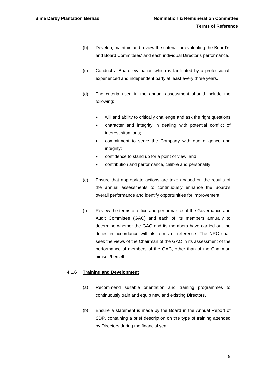- (b) Develop, maintain and review the criteria for evaluating the Board's, and Board Committees' and each individual Director's performance.
- (c) Conduct a Board evaluation which is facilitated by a professional, experienced and independent party at least every three years.
- (d) The criteria used in the annual assessment should include the following:
	- will and ability to critically challenge and ask the right questions;
	- character and integrity in dealing with potential conflict of interest situations;
	- commitment to serve the Company with due diligence and integrity;
	- confidence to stand up for a point of view; and
	- contribution and performance, calibre and personality.
- (e) Ensure that appropriate actions are taken based on the results of the annual assessments to continuously enhance the Board's overall performance and identify opportunities for improvement.
- (f) Review the terms of office and performance of the Governance and Audit Committee (GAC) and each of its members annually to determine whether the GAC and its members have carried out the duties in accordance with its terms of reference. The NRC shall seek the views of the Chairman of the GAC in its assessment of the performance of members of the GAC, other than of the Chairman himself/herself.

#### **4.1.6 Training and Development**

- (a) Recommend suitable orientation and training programmes to continuously train and equip new and existing Directors.
- (b) Ensure a statement is made by the Board in the Annual Report of SDP, containing a brief description on the type of training attended by Directors during the financial year.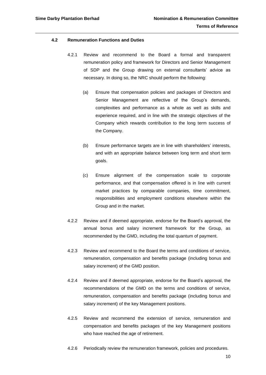#### **4.2 Remuneration Functions and Duties**

- 4.2.1 Review and recommend to the Board a formal and transparent remuneration policy and framework for Directors and Senior Management of SDP and the Group drawing on external consultants' advice as necessary. In doing so, the NRC should perform the following:
	- (a) Ensure that compensation policies and packages of Directors and Senior Management are reflective of the Group's demands, complexities and performance as a whole as well as skills and experience required, and in line with the strategic objectives of the Company which rewards contribution to the long term success of the Company.
	- (b) Ensure performance targets are in line with shareholders' interests, and with an appropriate balance between long term and short term goals.
	- (c) Ensure alignment of the compensation scale to corporate performance, and that compensation offered is in line with current market practices by comparable companies, time commitment, responsibilities and employment conditions elsewhere within the Group and in the market.
- 4.2.2 Review and if deemed appropriate, endorse for the Board's approval, the annual bonus and salary increment framework for the Group, as recommended by the GMD, including the total quantum of payment.
- 4.2.3 Review and recommend to the Board the terms and conditions of service, remuneration, compensation and benefits package (including bonus and salary increment) of the GMD position.
- 4.2.4 Review and if deemed appropriate, endorse for the Board's approval, the recommendations of the GMD on the terms and conditions of service, remuneration, compensation and benefits package (including bonus and salary increment) of the key Management positions.
- 4.2.5 Review and recommend the extension of service, remuneration and compensation and benefits packages of the key Management positions who have reached the age of retirement.
- 4.2.6 Periodically review the remuneration framework, policies and procedures.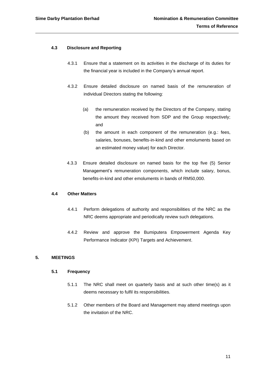#### **4.3 Disclosure and Reporting**

- 4.3.1 Ensure that a statement on its activities in the discharge of its duties for the financial year is included in the Company's annual report.
- 4.3.2 Ensure detailed disclosure on named basis of the remuneration of individual Directors stating the following:
	- (a) the remuneration received by the Directors of the Company, stating the amount they received from SDP and the Group respectively; and
	- (b) the amount in each component of the remuneration (e.g.: fees, salaries, bonuses, benefits-in-kind and other emoluments based on an estimated money value) for each Director.
- 4.3.3 Ensure detailed disclosure on named basis for the top five (5) Senior Management's remuneration components, which include salary, bonus, benefits-in-kind and other emoluments in bands of RM50,000.

#### **4.4 Other Matters**

- 4.4.1 Perform delegations of authority and responsibilities of the NRC as the NRC deems appropriate and periodically review such delegations.
- 4.4.2 Review and approve the Bumiputera Empowerment Agenda Key Performance Indicator (KPI) Targets and Achievement.

#### <span id="page-10-0"></span>**5. MEETINGS**

#### **5.1 Frequency**

- 5.1.1 The NRC shall meet on quarterly basis and at such other time(s) as it deems necessary to fulfil its responsibilities.
- 5.1.2 Other members of the Board and Management may attend meetings upon the invitation of the NRC.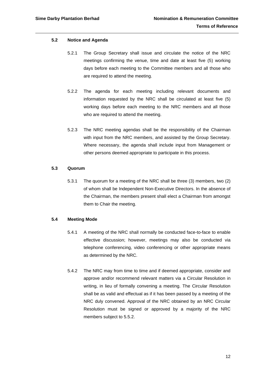#### **5.2 Notice and Agenda**

- 5.2.1 The Group Secretary shall issue and circulate the notice of the NRC meetings confirming the venue, time and date at least five (5) working days before each meeting to the Committee members and all those who are required to attend the meeting.
- 5.2.2 The agenda for each meeting including relevant documents and information requested by the NRC shall be circulated at least five (5) working days before each meeting to the NRC members and all those who are required to attend the meeting.
- 5.2.3 The NRC meeting agendas shall be the responsibility of the Chairman with input from the NRC members, and assisted by the Group Secretary. Where necessary, the agenda shall include input from Management or other persons deemed appropriate to participate in this process.

#### **5.3 Quorum**

5.3.1 The quorum for a meeting of the NRC shall be three (3) members, two (2) of whom shall be Independent Non-Executive Directors. In the absence of the Chairman, the members present shall elect a Chairman from amongst them to Chair the meeting.

#### **5.4 Meeting Mode**

- 5.4.1 A meeting of the NRC shall normally be conducted face-to-face to enable effective discussion; however, meetings may also be conducted via telephone conferencing, video conferencing or other appropriate means as determined by the NRC.
- 5.4.2 The NRC may from time to time and if deemed appropriate, consider and approve and/or recommend relevant matters via a Circular Resolution in writing, in lieu of formally convening a meeting. The Circular Resolution shall be as valid and effectual as if it has been passed by a meeting of the NRC duly convened. Approval of the NRC obtained by an NRC Circular Resolution must be signed or approved by a majority of the NRC members subject to 5.5.2.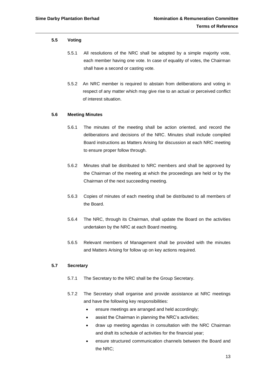#### **5.5 Voting**

- 5.5.1 All resolutions of the NRC shall be adopted by a simple majority vote, each member having one vote. In case of equality of votes, the Chairman shall have a second or casting vote.
- 5.5.2 An NRC member is required to abstain from deliberations and voting in respect of any matter which may give rise to an actual or perceived conflict of interest situation.

#### **5.6 Meeting Minutes**

- 5.6.1 The minutes of the meeting shall be action oriented, and record the deliberations and decisions of the NRC. Minutes shall include compiled Board instructions as Matters Arising for discussion at each NRC meeting to ensure proper follow through.
- 5.6.2 Minutes shall be distributed to NRC members and shall be approved by the Chairman of the meeting at which the proceedings are held or by the Chairman of the next succeeding meeting.
- 5.6.3 Copies of minutes of each meeting shall be distributed to all members of the Board.
- 5.6.4 The NRC, through its Chairman, shall update the Board on the activities undertaken by the NRC at each Board meeting.
- 5.6.5 Relevant members of Management shall be provided with the minutes and Matters Arising for follow up on key actions required.

#### **5.7 Secretary**

- 5.7.1 The Secretary to the NRC shall be the Group Secretary.
- 5.7.2 The Secretary shall organise and provide assistance at NRC meetings and have the following key responsibilities:
	- ensure meetings are arranged and held accordingly;
	- assist the Chairman in planning the NRC's activities;
	- draw up meeting agendas in consultation with the NRC Chairman and draft its schedule of activities for the financial year;
	- ensure structured communication channels between the Board and the NRC;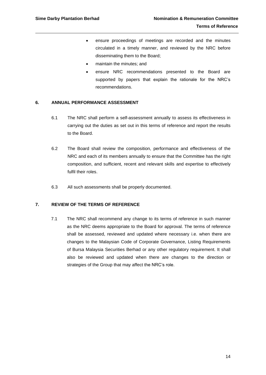- ensure proceedings of meetings are recorded and the minutes circulated in a timely manner, and reviewed by the NRC before disseminating them to the Board;
- maintain the minutes; and
- ensure NRC recommendations presented to the Board are supported by papers that explain the rationale for the NRC's recommendations.

#### <span id="page-13-0"></span>**6. ANNUAL PERFORMANCE ASSESSMENT**

- 6.1 The NRC shall perform a self-assessment annually to assess its effectiveness in carrying out the duties as set out in this terms of reference and report the results to the Board.
- 6.2 The Board shall review the composition, performance and effectiveness of the NRC and each of its members annually to ensure that the Committee has the right composition, and sufficient, recent and relevant skills and expertise to effectively fulfil their roles.
- 6.3 All such assessments shall be properly documented.

#### <span id="page-13-1"></span>**7. REVIEW OF THE TERMS OF REFERENCE**

7.1 The NRC shall recommend any change to its terms of reference in such manner as the NRC deems appropriate to the Board for approval. The terms of reference shall be assessed, reviewed and updated where necessary i.e. when there are changes to the Malaysian Code of Corporate Governance, Listing Requirements of Bursa Malaysia Securities Berhad or any other regulatory requirement. It shall also be reviewed and updated when there are changes to the direction or strategies of the Group that may affect the NRC's role.